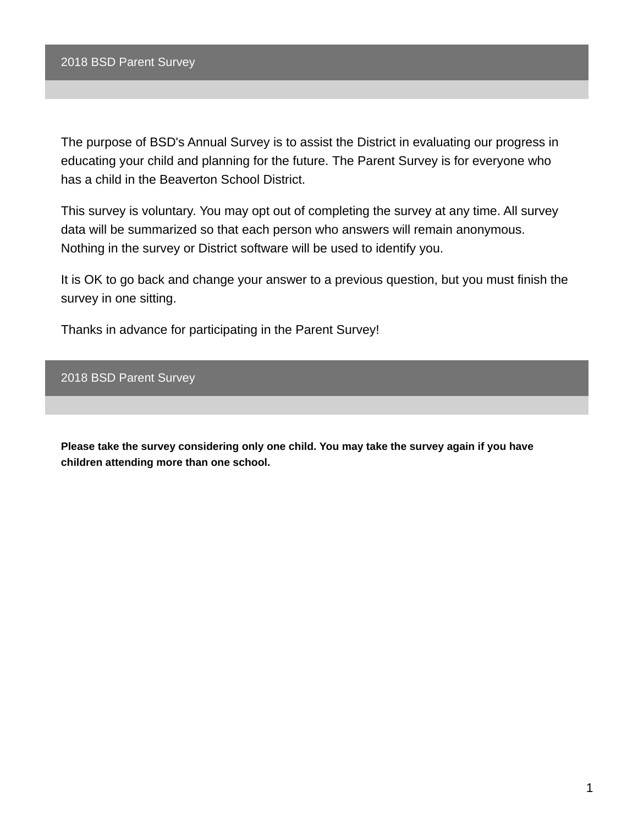The purpose of BSD's Annual Survey is to assist the District in evaluating our progress in educating your child and planning for the future. The Parent Survey is for everyone who has a child in the Beaverton School District.

This survey is voluntary. You may opt out of completing the survey at any time. All survey data will be summarized so that each person who answers will remain anonymous. Nothing in the survey or District software will be used to identify you.

It is OK to go back and change your answer to a previous question, but you must finish the survey in one sitting.

Thanks in advance for participating in the Parent Survey!

2018 BSD Parent Survey

**Please take the survey considering only one child. You may take the survey again if you have children attending more than one school.**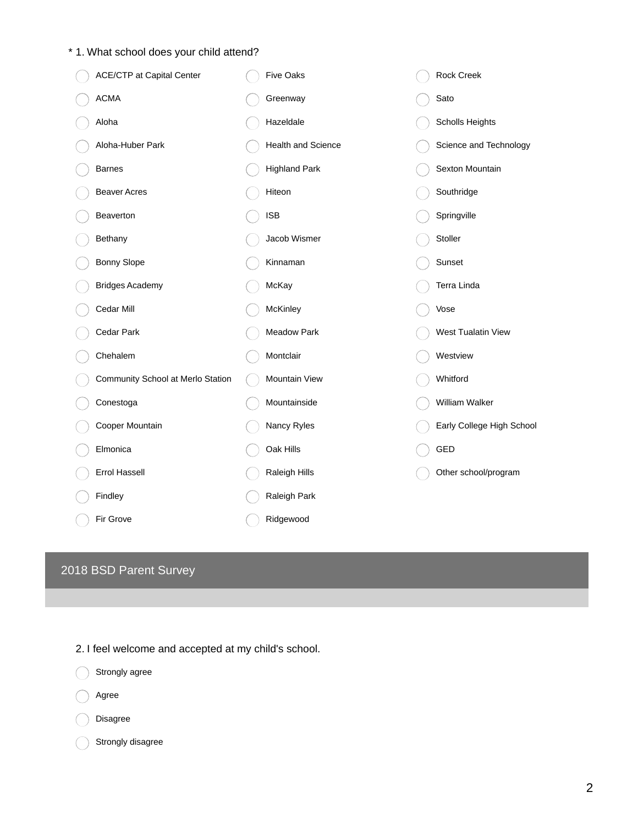## \* 1. What school does your child attend?

| ACE/CTP at Capital Center         | <b>Five Oaks</b>     | Rock Creek                |
|-----------------------------------|----------------------|---------------------------|
| <b>ACMA</b>                       | Greenway             | Sato                      |
| Aloha                             | Hazeldale            | Scholls Heights           |
| Aloha-Huber Park                  | Health and Science   | Science and Technology    |
| <b>Barnes</b>                     | <b>Highland Park</b> | Sexton Mountain           |
| <b>Beaver Acres</b>               | Hiteon               | Southridge                |
| Beaverton                         | <b>ISB</b>           | Springville               |
| Bethany                           | Jacob Wismer         | Stoller                   |
| <b>Bonny Slope</b>                | Kinnaman             | Sunset                    |
| <b>Bridges Academy</b>            | McKay                | Terra Linda               |
| Cedar Mill                        | McKinley             | Vose                      |
| Cedar Park                        | <b>Meadow Park</b>   | West Tualatin View        |
| Chehalem                          | Montclair            | Westview                  |
| Community School at Merlo Station | Mountain View        | Whitford                  |
| Conestoga                         | Mountainside         | William Walker            |
| Cooper Mountain                   | Nancy Ryles          | Early College High School |
| Elmonica                          | Oak Hills            | GED                       |
| <b>Errol Hassell</b>              | Raleigh Hills        | Other school/program      |
| Findley                           | Raleigh Park         |                           |
| Fir Grove                         | Ridgewood            |                           |

# 2018 BSD Parent Survey



2. I feel welcome and accepted at my child's school.

Strongly disagree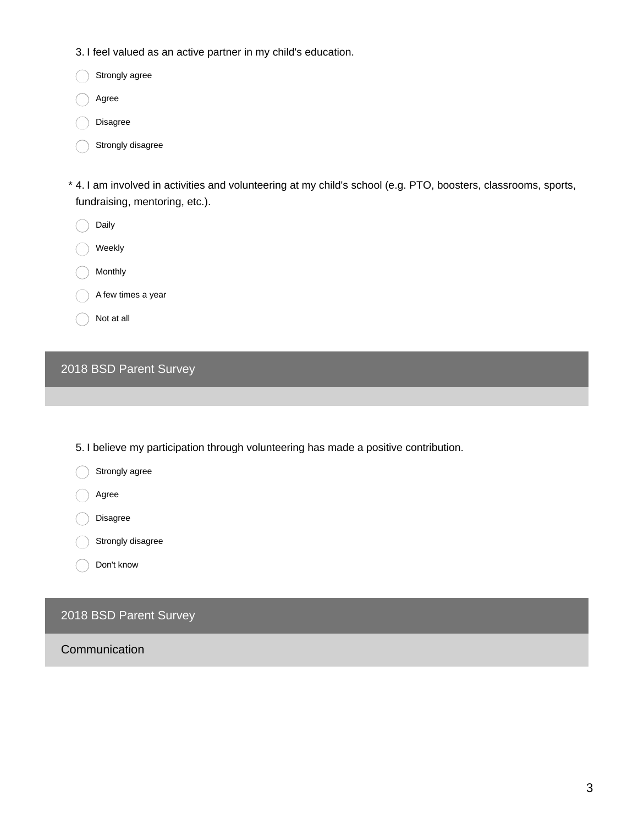3. I feel valued as an active partner in my child's education.

Strongly agree

Agree

Disagree

Strongly disagree

4. I am involved in activities and volunteering at my child's school (e.g. PTO, boosters, classrooms, sports, \* fundraising, mentoring, etc.).

Daily

Weekly

Monthly

A few times a year

Not at all

## 2018 BSD Parent Survey

5. I believe my participation through volunteering has made a positive contribution.

Strongly agree

Agree

Disagree

Strongly disagree

Don't know

## 2018 BSD Parent Survey

Communication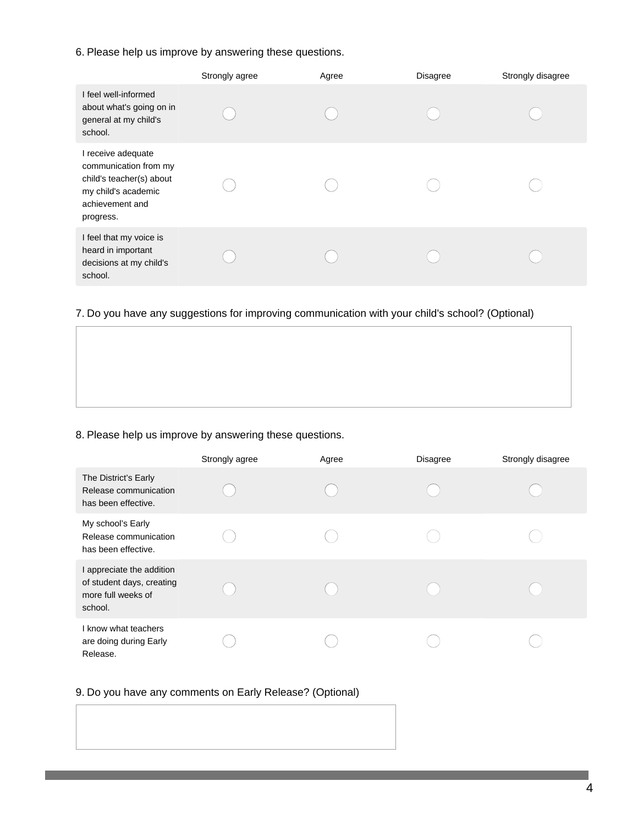#### 6. Please help us improve by answering these questions.

|                                                                                                                                | Strongly agree | Agree | <b>Disagree</b> | Strongly disagree |
|--------------------------------------------------------------------------------------------------------------------------------|----------------|-------|-----------------|-------------------|
| I feel well-informed<br>about what's going on in<br>general at my child's<br>school.                                           |                |       |                 |                   |
| I receive adequate<br>communication from my<br>child's teacher(s) about<br>my child's academic<br>achievement and<br>progress. |                |       |                 |                   |
| I feel that my voice is<br>heard in important<br>decisions at my child's<br>school.                                            |                |       |                 |                   |

#### 7. Do you have any suggestions for improving communication with your child's school? (Optional)

#### 8. Please help us improve by answering these questions.

|                                                                                         | Strongly agree | Agree | <b>Disagree</b> | Strongly disagree |
|-----------------------------------------------------------------------------------------|----------------|-------|-----------------|-------------------|
| The District's Early<br>Release communication<br>has been effective.                    |                |       |                 |                   |
| My school's Early<br>Release communication<br>has been effective.                       |                |       |                 |                   |
| I appreciate the addition<br>of student days, creating<br>more full weeks of<br>school. |                |       |                 |                   |
| I know what teachers<br>are doing during Early<br>Release.                              |                |       |                 |                   |

#### 9. Do you have any comments on Early Release? (Optional)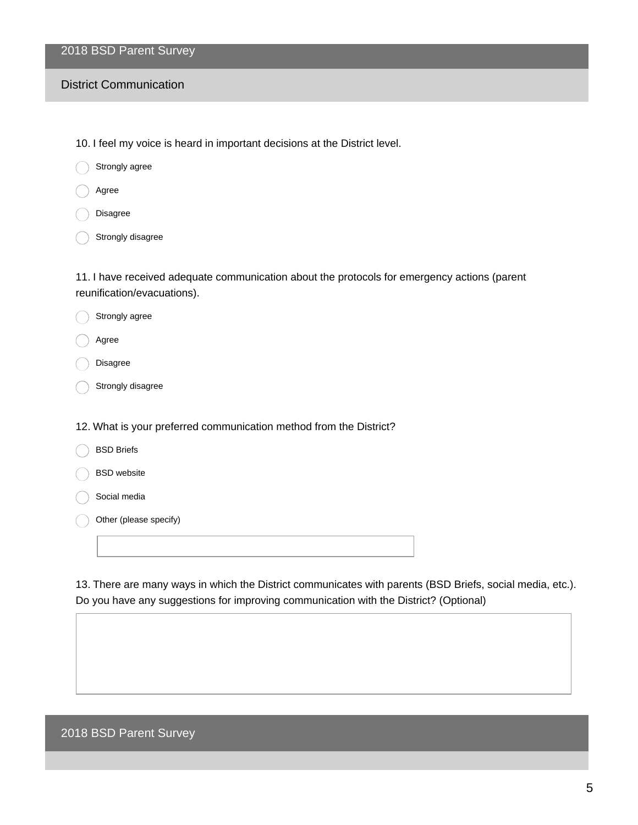## 2018 BSD Parent Survey

#### District Communication

10. I feel my voice is heard in important decisions at the District level.

Strongly agree

Agree

Disagree

Strongly disagree

Strongly agree

11. I have received adequate communication about the protocols for emergency actions (parent reunification/evacuations).

| Agree                                                              |
|--------------------------------------------------------------------|
| <b>Disagree</b>                                                    |
| Strongly disagree                                                  |
|                                                                    |
| 12. What is your preferred communication method from the District? |
| <b>BSD Briefs</b>                                                  |
| <b>BSD</b> website                                                 |
| Social media                                                       |
| Other (please specify)                                             |
|                                                                    |

13. There are many ways in which the District communicates with parents (BSD Briefs, social media, etc.). Do you have any suggestions for improving communication with the District? (Optional)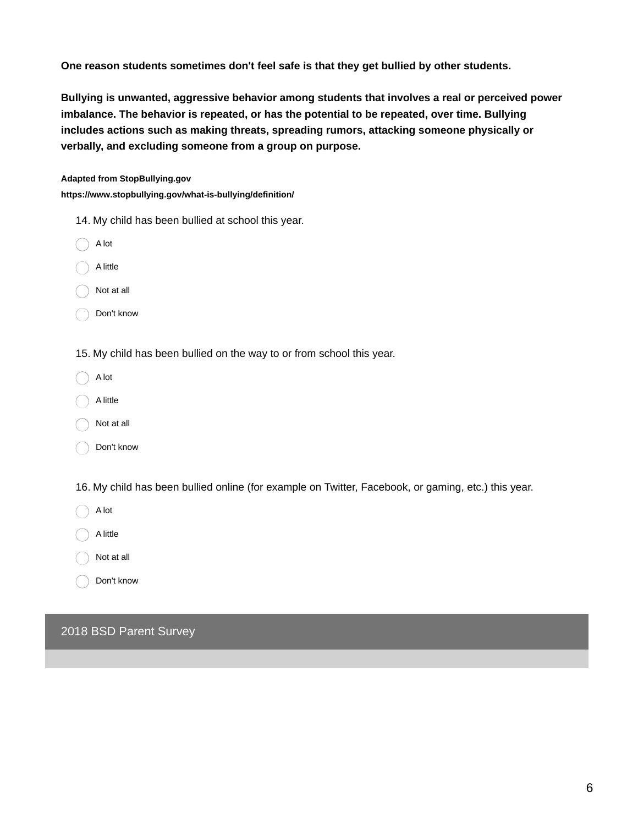**One reason students sometimes don't feel safe is that they get bullied by other students.**

**Bullying is unwanted, aggressive behavior among students that involves a real or perceived power imbalance. The behavior is repeated, or has the potential to be repeated, over time. Bullying includes actions such as making threats, spreading rumors, attacking someone physically or verbally, and excluding someone from a group on purpose.**

#### **Adapted from StopBullying.gov**

**https://www.stopbullying.gov/what-is-bullying/definition/**

- 14. My child has been bullied at school this year.
- A lot

A little

Not at all

Don't know

15. My child has been bullied on the way to or from school this year.

A lot

A little

Not at all

Don't know

16. My child has been bullied online (for example on Twitter, Facebook, or gaming, etc.) this year.

A lot

A little

Not at all

Don't know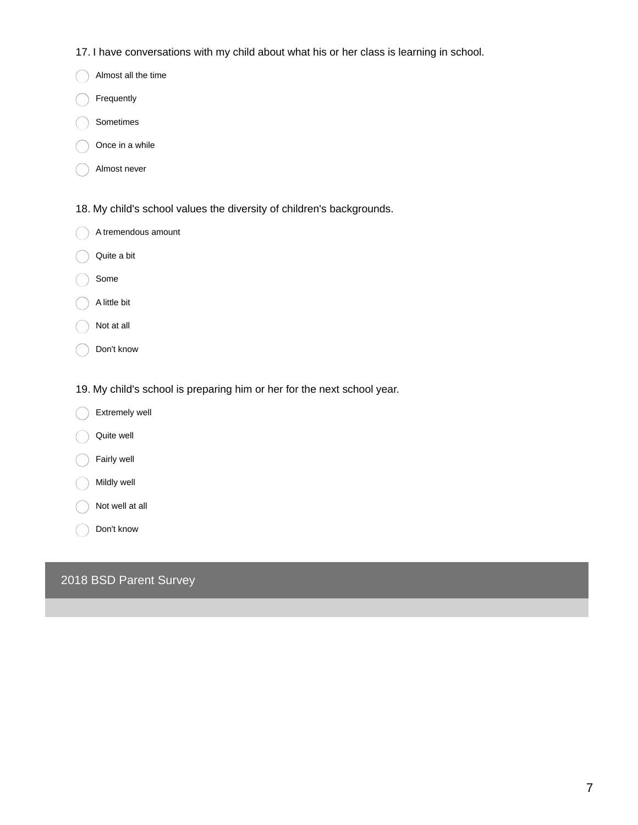- 17. I have conversations with my child about what his or her class is learning in school.
- Almost all the time
- Frequently
- Sometimes
- Once in a while
- Almost never
- 18. My child's school values the diversity of children's backgrounds.
- $\bigcap$  A tremendous amount
- Quite a bit
- Some
- A little bit
- Not at all
- Don't know
- 19. My child's school is preparing him or her for the next school year.
- Extremely well
- Quite well
- Fairly well
- Mildly well
- Not well at all
- Don't know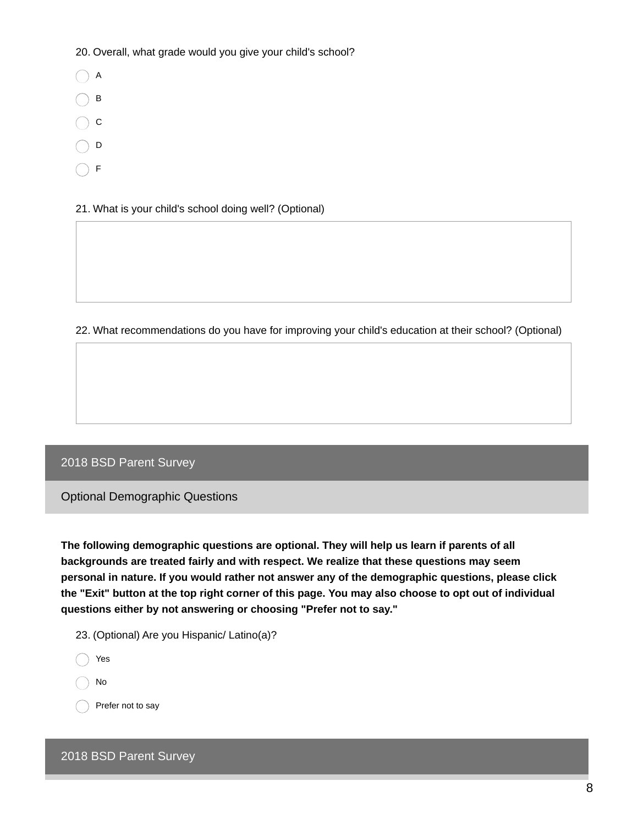20. Overall, what grade would you give your child's school?

- $\bigcap$  A
- $\bigcap$  B
- $\bigcap$  c
- $\bigcirc$  D
- $\bigcap$  F

21. What is your child's school doing well? (Optional)

22. What recommendations do you have for improving your child's education at their school? (Optional)

## 2018 BSD Parent Survey

Optional Demographic Questions

**The following demographic questions are optional. They will help us learn if parents of all backgrounds are treated fairly and with respect. We realize that these questions may seem personal in nature. If you would rather not answer any of the demographic questions, please click** the "Exit" button at the top right corner of this page. You may also choose to opt out of individual **questions either by not answering or choosing "Prefer not to say."**

- 23. (Optional) Are you Hispanic/ Latino(a)?
- ◯ Yes

No

Prefer not to say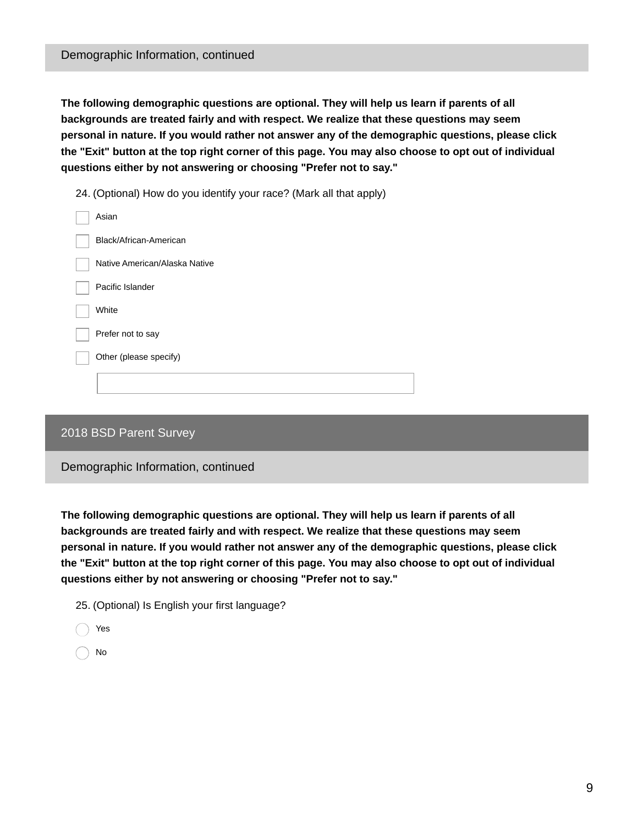**The following demographic questions are optional. They will help us learn if parents of all backgrounds are treated fairly and with respect. We realize that these questions may seem personal in nature. If you would rather not answer any of the demographic questions, please click** the "Exit" button at the top right corner of this page. You may also choose to opt out of individual **questions either by not answering or choosing "Prefer not to say."**

24. (Optional) How do you identify your race? (Mark all that apply)

### 2018 BSD Parent Survey

Demographic Information, continued

**The following demographic questions are optional. They will help us learn if parents of all backgrounds are treated fairly and with respect. We realize that these questions may seem personal in nature. If you would rather not answer any of the demographic questions, please click** the "Exit" button at the top right corner of this page. You may also choose to opt out of individual **questions either by not answering or choosing "Prefer not to say."**

25. (Optional) Is English your first language?

- Yes
- No